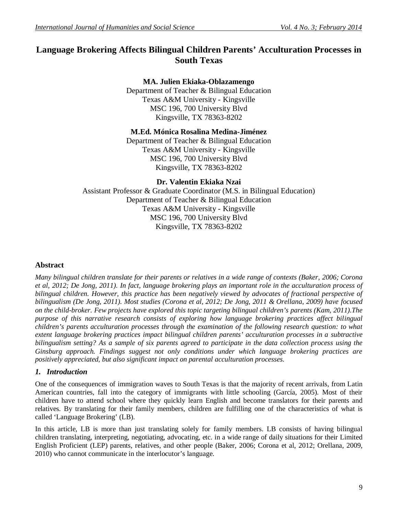# **Language Brokering Affects Bilingual Children Parents' Acculturation Processes in South Texas**

# **MA. Julien Ekiaka-Oblazamengo**

Department of Teacher & Bilingual Education Texas A&M University - Kingsville MSC 196, 700 University Blvd Kingsville, TX 78363-8202

# **M.Ed. Mónica Rosalina Medina-Jiménez**

Department of Teacher & Bilingual Education Texas A&M University - Kingsville MSC 196, 700 University Blvd Kingsville, TX 78363-8202

# **Dr. Valentin Ekiaka Nzai**

Assistant Professor & Graduate Coordinator (M.S. in Bilingual Education) Department of Teacher & Bilingual Education Texas A&M University - Kingsville MSC 196, 700 University Blvd Kingsville, TX 78363-8202

# **Abstract**

*Many bilingual children translate for their parents or relatives in a wide range of contexts (Baker, 2006; Corona et al, 2012; De Jong, 2011). In fact, language brokering plays an important role in the acculturation process of bilingual children. However, this practice has been negatively viewed by advocates of fractional perspective of bilingualism (De Jong, 2011). Most studies (Corona et al, 2012; De Jong, 2011 & Orellana, 2009) have focused on the child-broker. Few projects have explored this topic targeting bilingual children's parents (Kam, 2011).The purpose of this narrative research consists of exploring how language brokering practices affect bilingual children's parents acculturation processes through the examination of the following research question: to what extent language brokering practices impact bilingual children parents' acculturation processes in a subtractive bilingualism setting? As a sample of six parents agreed to participate in the data collection process using the Ginsburg approach. Findings suggest not only conditions under which language brokering practices are positively appreciated, but also significant impact on parental acculturation processes.* 

# *1. Introduction*

One of the consequences of immigration waves to South Texas is that the majority of recent arrivals, from Latin American countries, fall into the category of immigrants with little schooling (García, 2005). Most of their children have to attend school where they quickly learn English and become translators for their parents and relatives. By translating for their family members, children are fulfilling one of the characteristics of what is called 'Language Brokering' (LB).

In this article, LB is more than just translating solely for family members. LB consists of having bilingual children translating, interpreting, negotiating, advocating, etc. in a wide range of daily situations for their Limited English Proficient (LEP) parents, relatives, and other people (Baker, 2006; Corona et al, 2012; Orellana, 2009, 2010) who cannot communicate in the interlocutor's language.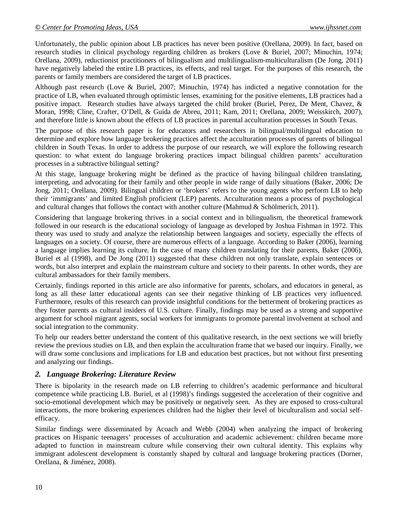Unfortunately, the public opinion about LB practices has never been positive (Orellana, 2009). In fact, based on research studies in clinical psychology regarding children as brokers (Love & Buriel, 2007; Minuchin, 1974; Orellana, 2009), reductionist practitioners of bilingualism and multilingualism-multiculturalism (De Jong, 2011) have negatively labeled the entire LB practices, its effects, and real target. For the purposes of this research, the parents or family members are considered the target of LB practices.

Although past research (Love & Buriel, 2007; Minuchin, 1974) has indicted a negative connotation for the practice of LB, when evaluated through optimistic lenses, examining for the positive elements, LB practices had a positive impact. Research studies have always targeted the child broker (Buriel, Perez, De Ment, Chavez, & Moran, 1998; Cline, Crafter, O'Dell, & Guida de Abreu, 2011; Kam, 2011; Orellana, 2009; Weisskirch, 2007), and therefore little is known about the effects of LB practices in parental acculturation processes in South Texas.

The purpose of this research paper is for educators and researchers in bilingual/multilingual education to determine and explore how language brokering practices affect the acculturation processes of parents of bilingual children in South Texas. In order to address the purpose of our research, we will explore the following research question: to what extent do language brokering practices impact bilingual children parents' acculturation processes in a subtractive bilingual setting?

At this stage, language brokering might be defined as the practice of having bilingual children translating, interpreting, and advocating for their family and other people in wide range of daily situations (Baker, 2006; De Jong, 2011; Orellana, 2009). Bilingual children or 'brokers' refers to the young agents who perform LB to help their 'immigrants' and limited English proficient (LEP) parents. Acculturation means a process of psychological and cultural changes that follows the contact with another culture (Mahmud & Schölmerich, 2011).

Considering that language brokering thrives in a social context and in bilingualism, the theoretical framework followed in our research is the educational sociology of language as developed by Joshua Fishman in 1972. This theory was used to study and analyze the relationship between languages and society, especially the effects of languages on a society. Of course, there are numerous effects of a language. According to Baker (2006), learning a language implies learning its culture. In the case of many children translating for their parents, Baker (2006), Buriel et al (1998), and De Jong (2011) suggested that these children not only translate, explain sentences or words, but also interpret and explain the mainstream culture and society to their parents. In other words, they are cultural ambassadors for their family members.

Certainly, findings reported in this article are also informative for parents, scholars, and educators in general, as long as all these latter educational agents can see their negative thinking of LB practices very influenced. Furthermore, results of this research can provide insightful conditions for the betterment of brokering practices as they foster parents as cultural insiders of U.S. culture. Finally, findings may be used as a strong and supportive argument for school migrant agents, social workers for immigrants to promote parental involvement at school and social integration to the community.

To help our readers better understand the content of this qualitative research, in the next sections we will briefly review the previous studies on LB, and then explain the acculturation frame that we based our inquiry. Finally, we will draw some conclusions and implications for LB and education best practices, but not without first presenting and analyzing our findings.

# *2. Language Brokering: Literature Review*

There is bipolarity in the research made on LB referring to children's academic performance and bicultural competence while practicing LB. Buriel, et al (1998)'s findings suggested the acceleration of their cognitive and socio-emotional development which may be positively or negatively seen. As they are exposed to cross-cultural interactions, the more brokering experiences children had the higher their level of biculturalism and social selfefficacy.

Similar findings were disseminated by Acoach and Webb (2004) when analyzing the impact of brokering practices on Hispanic teenagers' processes of acculturation and academic achievement: children became more adapted to function in mainstream culture while conserving their own cultural identity. This explains why immigrant adolescent development is constantly shaped by cultural and language brokering practices (Dorner, Orellana, & Jiménez, 2008).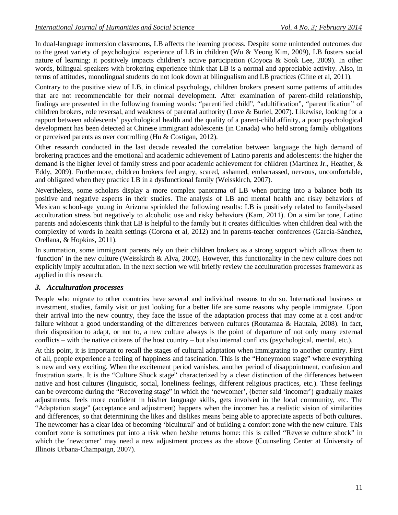In dual-language immersion classrooms, LB affects the learning process. Despite some unintended outcomes due to the great variety of psychological experience of LB in children (Wu & Yeong Kim, 2009), LB fosters social nature of learning; it positively impacts children's active participation (Coyoca & Sook Lee, 2009). In other words, bilingual speakers with brokering experience think that LB is a normal and appreciable activity. Also, in terms of attitudes, monolingual students do not look down at bilingualism and LB practices (Cline et al, 2011).

Contrary to the positive view of LB, in clinical psychology, children brokers present some patterns of attitudes that are not recommendable for their normal development. After examination of parent-child relationship, findings are presented in the following framing words: "parentified child", "adultification", "parentification" of children brokers, role reversal, and weakness of parental authority (Love & Buriel, 2007). Likewise, looking for a rapport between adolescents' psychological health and the quality of a parent-child affinity, a poor psychological development has been detected at Chinese immigrant adolescents (in Canada) who held strong family obligations or perceived parents as over controlling (Hu & Costigan, 2012).

Other research conducted in the last decade revealed the correlation between language the high demand of brokering practices and the emotional and academic achievement of Latino parents and adolescents: the higher the demand is the higher level of family stress and poor academic achievement for children (Martinez Jr., Heather, & Eddy, 2009). Furthermore, children brokers feel angry, scared, ashamed, embarrassed, nervous, uncomfortable, and obligated when they practice LB in a dysfunctional family (Weisskirch, 2007).

Nevertheless, some scholars display a more complex panorama of LB when putting into a balance both its positive and negative aspects in their studies. The analysis of LB and mental health and risky behaviors of Mexican school-age young in Arizona sprinkled the following results: LB is positively related to family-based acculturation stress but negatively to alcoholic use and risky behaviors (Kam, 2011). On a similar tone, Latino parents and adolescents think that LB is helpful to the family but it creates difficulties when children deal with the complexity of words in health settings (Corona et al, 2012) and in parents-teacher conferences (García-Sánchez, Orellana, & Hopkins, 2011).

In summation, some immigrant parents rely on their children brokers as a strong support which allows them to 'function' in the new culture (Weisskirch & Alva, 2002). However, this functionality in the new culture does not explicitly imply acculturation. In the next section we will briefly review the acculturation processes framework as applied in this research.

# *3. Acculturation processes*

People who migrate to other countries have several and individual reasons to do so. International business or investment, studies, family visit or just looking for a better life are some reasons why people immigrate. Upon their arrival into the new country, they face the issue of the adaptation process that may come at a cost and/or failure without a good understanding of the differences between cultures (Routamaa & Hautala, 2008). In fact, their disposition to adapt, or not to, a new culture always is the point of departure of not only many external conflicts – with the native citizens of the host country – but also internal conflicts (psychological, mental, etc.).

At this point, it is important to recall the stages of cultural adaptation when immigrating to another country. First of all, people experience a feeling of happiness and fascination. This is the "Honeymoon stage" where everything is new and very exciting. When the excitement period vanishes, another period of disappointment, confusion and frustration starts. It is the "Culture Shock stage" characterized by a clear distinction of the differences between native and host cultures (linguistic, social, loneliness feelings, different religious practices, etc.). These feelings can be overcome during the "Recovering stage" in which the 'newcomer', (better said 'incomer') gradually makes adjustments, feels more confident in his/her language skills, gets involved in the local community, etc. The "Adaptation stage" (acceptance and adjustment) happens when the incomer has a realistic vision of similarities and differences, so that determining the likes and dislikes means being able to appreciate aspects of both cultures. The newcomer has a clear idea of becoming 'bicultural' and of building a comfort zone with the new culture. This comfort zone is sometimes put into a risk when he/she returns home: this is called "Reverse culture shock" in which the 'newcomer' may need a new adjustment process as the above (Counseling Center at University of Illinois Urbana-Champaign, 2007).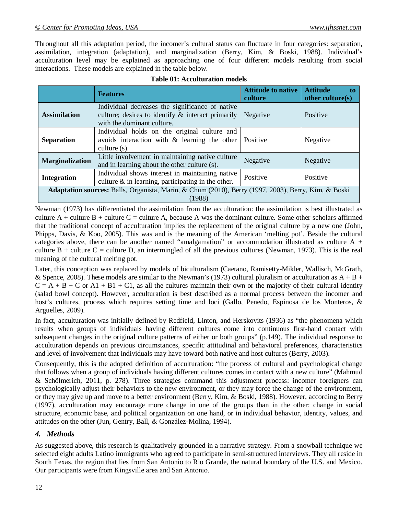Throughout all this adaptation period, the incomer's cultural status can fluctuate in four categories: separation, assimilation, integration (adaptation), and marginalization (Berry, Kim, & Boski, 1988). Individual's acculturation level may be explained as approaching one of four different models resulting from social interactions. These models are explained in the table below.

|                                                                                                               | <b>Features</b>                                                                                                                       | <b>Attitude to native</b><br>culture | <b>Attitude</b><br>other culture $(s)$ |  |
|---------------------------------------------------------------------------------------------------------------|---------------------------------------------------------------------------------------------------------------------------------------|--------------------------------------|----------------------------------------|--|
| <b>Assimilation</b>                                                                                           | Individual decreases the significance of native<br>culture; desires to identify $\&$ interact primarily<br>with the dominant culture. | Negative                             | Positive                               |  |
| <b>Separation</b>                                                                                             | Individual holds on the original culture and<br>avoids interaction with & learning the other<br>culture $(s)$ .                       | Positive                             | Negative                               |  |
| <b>Marginalization</b>                                                                                        | Little involvement in maintaining native culture<br>and in learning about the other culture (s).                                      | Negative                             | Negative                               |  |
| <b>Integration</b>                                                                                            | Individual shows interest in maintaining native<br>culture $\&$ in learning, participating in the other.                              | Positive                             | Positive                               |  |
| Adaptation sources: Balls, Organista, Marin, & Chum (2010), Berry (1997, 2003), Berry, Kim, & Boski<br>(1988) |                                                                                                                                       |                                      |                                        |  |

|  | <b>Table 01: Acculturation models</b> |  |
|--|---------------------------------------|--|
|--|---------------------------------------|--|

Newman (1973) has differentiated the assimilation from the acculturation: the assimilation is best illustrated as culture  $A$  + culture  $B$  + culture  $C$  = culture A, because A was the dominant culture. Some other scholars affirmed that the traditional concept of acculturation implies the replacement of the original culture by a new one (John, Phipps, Davis, & Koo, 2005). This was and is the meaning of the American 'melting pot'. Beside the cultural categories above, there can be another named "amalgamation" or accommodation illustrated as culture A + culture  $B$  + culture  $C$  = culture D, an intermingled of all the previous cultures (Newman, 1973). This is the real meaning of the cultural melting pot.

Later, this conception was replaced by models of biculturalism (Caetano, Ramisetty-Mikler, Wallisch, McGrath, & Spence, 2008). These models are similar to the Newman's (1973) cultural pluralism or acculturation as  $A + B +$  $C = A + B + C$  or  $A1 + B1 + C1$ , as all the cultures maintain their own or the majority of their cultural identity (salad bowl concept). However, acculturation is best described as a normal process between the incomer and host's cultures, process which requires setting time and loci (Gallo, Penedo, Espinosa de los Monteros, & Arguelles, 2009).

In fact, acculturation was initially defined by Redfield, Linton, and Herskovits (1936) as "the phenomena which results when groups of individuals having different cultures come into continuous first-hand contact with subsequent changes in the original culture patterns of either or both groups" (p.149). The individual response to acculturation depends on previous circumstances, specific attitudinal and behavioral preferences, characteristics and level of involvement that individuals may have toward both native and host cultures (Berry, 2003).

Consequently, this is the adopted definition of acculturation: "the process of cultural and psychological change that follows when a group of individuals having different cultures comes in contact with a new culture" (Mahmud & Schölmerich, 2011, p. 278). Three strategies command this adjustment process: incomer foreigners can psychologically adjust their behaviors to the new environment, or they may force the change of the environment, or they may give up and move to a better environment (Berry, Kim, & Boski, 1988). However, according to Berry (1997), acculturation may encourage more change in one of the groups than in the other: change in social structure, economic base, and political organization on one hand, or in individual behavior, identity, values, and attitudes on the other (Jun, Gentry, Ball, & González-Molina, 1994).

# *4. Methods*

As suggested above, this research is qualitatively grounded in a narrative strategy. From a snowball technique we selected eight adults Latino immigrants who agreed to participate in semi-structured interviews. They all reside in South Texas, the region that lies from San Antonio to Rio Grande, the natural boundary of the U.S. and Mexico. Our participants were from Kingsville area and San Antonio.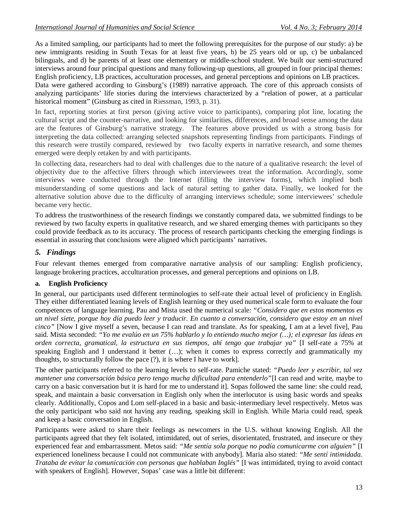As a limited sampling, our participants had to meet the following prerequisites for the purpose of our study: a) be new immigrants residing in South Texas for at least five years, b) be 25 years old or up, c) be unbalanced bilinguals, and d) be parents of at least one elementary or middle-school student. We built our semi-structured interviews around four principal questions and many following-up questions, all grouped in four principal themes: English proficiency, LB practices, acculturation processes, and general perceptions and opinions on LB practices.

Data were gathered according to Ginsburg's (1989) narrative approach. The core of this approach consists of analyzing participants' life stories during the interviews characterized by a "relation of power, at a particular historical moment" (Ginsburg as cited in Riessman, 1993, p. 31).

In fact, reporting stories at first person (giving active voice to participants), comparing plot line, locating the cultural script and the counter-narrative, and looking for similarities, differences, and broad sense among the data are the features of Ginsburg's narrative strategy. The features above provided us with a strong basis for interpreting the data collected: arranging selected snapshots representing findings from participants. Findings of this research were trustily compared, reviewed by two faculty experts in narrative research, and some themes emerged were deeply retaken by and with participants.

In collecting data, researchers had to deal with challenges due to the nature of a qualitative research: the level of objectivity due to the affective filters through which interviewees treat the information. Accordingly, some interviews were conducted through the Internet (filling the interview forms), which implied both misunderstanding of some questions and lack of natural setting to gather data. Finally, we looked for the alternative solution above due to the difficulty of arranging interviews schedule; some interviewees' schedule became very hectic.

To address the trustworthiness of the research findings we constantly compared data, we submitted findings to be reviewed by two faculty experts in qualitative research, and we shared emerging themes with participants so they could provide feedback as to its accuracy. The process of research participants checking the emerging findings is essential in assuring that conclusions were aligned which participants' narratives.

# *5. Findings*

Four relevant themes emerged from comparative narrative analysis of our sampling: English proficiency, language brokering practices, acculturation processes, and general perceptions and opinions on LB.

#### **a. English Proficiency**

In general, our participants used different terminologies to self-rate their actual level of proficiency in English. They either differentiated leaning levels of English learning or they used numerical scale form to evaluate the four competences of language learning. Pau and Mista used the numerical scale: *"Considero que en estos momentos es un nivel siete, porque hoy día puedo leer y traducir. En cuanto a conversación, considero que estoy en un nivel cinco"* [Now I give myself a seven, because I can read and translate. As for speaking, I am at a level five], Pau said. Mista seconded: *"Yo me evalúo en un 75% hablarlo y lo entiendo mucho mejor (…); el expresar las ideas en orden correcta, gramatical, la estructura en sus tiempos, ahí tengo que trabajar ya"* [I self-rate a 75% at speaking English and I understand it better  $(...)$ ; when it comes to express correctly and grammatically my thoughts, to structurally follow the pace (?), it is where I have to work].

The other participants referred to the learning levels to self-rate. Pamiche stated: *"Puedo leer y escribir, tal vez mantener una conversación básica pero tengo mucha dificultad para entenderlo"*[I can read and write, maybe to carry on a basic conversation but it is hard for me to understand it]. Sopas followed the same line: she could read, speak, and maintain a basic conversation in English only when the interlocutor is using basic words and speaks clearly. Additionally, Copos and Lom self-placed in a basic and basic-intermediary level respectively. Metos was the only participant who said not having any reading, speaking skill in English. While Maria could read, speak and keep a basic conversation in English.

Participants were asked to share their feelings as newcomers in the U.S. without knowing English. All the participants agreed that they felt isolated, intimidated, out of series, disorientated, frustrated, and insecure or they experienced fear and embarrassment. Metos said: *"Me sentía sola porque no podía comunicarme con alguien"* [I experienced loneliness because I could not communicate with anybody]. Maria also stated: *"Me sentí intimidada. Trataba de evitar la comunicación con personas que hablaban Inglés"* [I was intimidated, trying to avoid contact with speakers of English]. However, Sopas' case was a little bit different: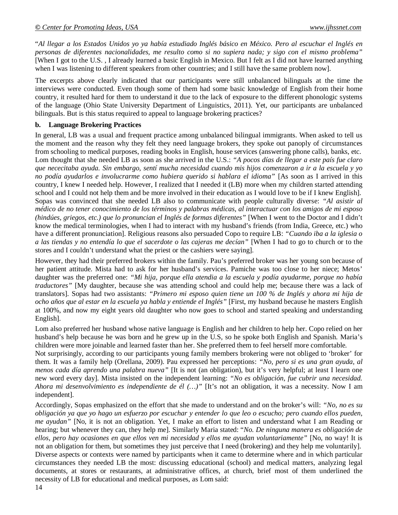"*Al llegar a los Estados Unidos yo ya había estudiado Inglés básico en México. Pero al escuchar el Inglés en personas de diferentes nacionalidades, me resulto como si no supiera nada; y sigo con el mismo problema"* [When I got to the U.S. , I already learned a basic English in Mexico. But I felt as I did not have learned anything when I was listening to different speakers from other countries; and I still have the same problem now].

The excerpts above clearly indicated that our participants were still unbalanced bilinguals at the time the interviews were conducted. Even though some of them had some basic knowledge of English from their home country, it resulted hard for them to understand it due to the lack of exposure to the different phonologic systems of the language (Ohio State University Department of Linguistics, 2011). Yet, our participants are unbalanced bilinguals. But is this status required to appeal to language brokering practices?

#### **b. Language Brokering Practices**

In general, LB was a usual and frequent practice among unbalanced bilingual immigrants. When asked to tell us the moment and the reason why they felt they need language brokers, they spoke out panoply of circumstances from schooling to medical purposes, reading books in English, house services (answering phone calls), banks, etc. Lom thought that she needed LB as soon as she arrived in the U.S.: *"A pocos días de llegar a este país fue claro que nececitaba ayuda. Sin embargo, sentí mucha necesidad cuando mis hijos comenzaron a ir a la escuela y yo no podía ayudarlos e involucrarme como hubiera querido si hablara el idioma"* [As soon as I arrived in this country, I knew I needed help. However, I realized that I needed it (LB) more when my children started attending school and I could not help them and be more involved in their education as I would love to be if I knew English]. Sopas was convinced that she needed LB also to communicate with people culturally diverse: *"Al asistir al médico de no tener conocimiento de los términos y palabras médicas, al interactuar con los amigos de mi esposo (hindúes, griegos, etc.) que lo pronuncian el Inglés de formas diferentes"* [When I went to the Doctor and I didn't know the medical terminologies, when I had to interact with my husband's friends (from India, Greece, etc.) who have a different pronunciation]. Religious reasons also persuaded Copo to require LB: *"Cuando iba a la iglesia o a las tiendas y no entendía lo que el sacerdote o las cajeras me decían"* [When I had to go to church or to the stores and I couldn't understand what the priest or the cashiers were saying].

However, they had their preferred brokers within the family. Pau's preferred broker was her young son because of her patient attitude. Mista had to ask for her husband's services. Pamiche was too close to her niece; Metos' daughter was the preferred one: *"Mi hija, porque ella atendia a la escuela y podía ayudarme, porque no había traductores"* [My daughter, because she was attending school and could help me; because there was a lack of translators]. Sopas had two assistants: *"Primero mi esposo quien tiene un 100 % de Inglés y ahora mi hija de ocho años que al estar en la escuela ya habla y entiende el Inglés"* [First, my husband because he masters English at 100%, and now my eight years old daughter who now goes to school and started speaking and understanding English].

Lom also preferred her husband whose native language is English and her children to help her. Copo relied on her husband's help because he was born and he grew up in the U.S, so he spoke both English and Spanish. Maria's children were more joinable and learned faster than her. She preferred them to feel herself more comfortable.

Not surprisingly, according to our participants young family members brokering were not obliged to 'broker' for them. It was a family help (Orellana, 2009). Pau expressed her perceptions: *"No, pero si es una gran ayuda, al menos cada día aprendo una palabra nueva"* [It is not (an obligation), but it's very helpful; at least I learn one new word every day]. Mista insisted on the independent learning: *"No es obligación, fue cubrir una necesidad. Ahora mi desenvolvimiento es independiente de él (…)"* [It's not an obligation, it was a necessity. Now I am independent].

Accordingly, Sopas emphasized on the effort that she made to understand and on the broker's will: *"No, no es su obligación ya que yo hago un esfuerzo por escuchar y entender lo que leo o escucho; pero cuando ellos pueden, me ayudan"* [No, it is not an obligation. Yet, I make an effort to listen and understand what I am Reading or hearing; but whenever they can, they help me]. Similarly Maria stated: "*No. De ninguna manera es obligación de ellos, pero hay ocasiones en que ellos ven mi necesidad y ellos me ayudan voluntariamente"* [No, no way! It is not an obligation for them, but sometimes they just perceive that I need (brokering) and they help me voluntarily]. Diverse aspects or contexts were named by participants when it came to determine where and in which particular circumstances they needed LB the most: discussing educational (school) and medical matters, analyzing legal documents, at stores or restaurants, at administrative offices, at church, brief most of them underlined the necessity of LB for educational and medical purposes, as Lom said: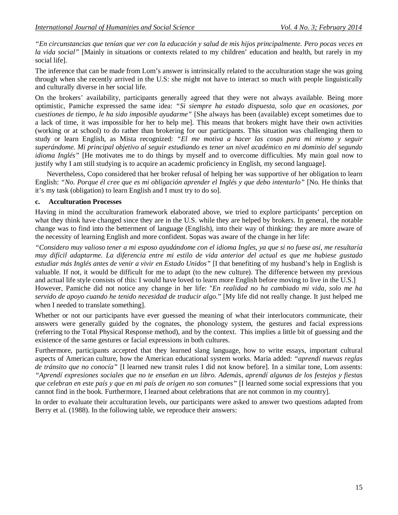*"En circunstancias que tenían que ver con la educación y salud de mis hijos principalmente. Pero pocas veces en la vida social"* [Mainly in situations or contexts related to my children' education and health, but rarely in my social life].

The inference that can be made from Lom's answer is intrinsically related to the acculturation stage she was going through when she recently arrived in the U.S: she might not have to interact so much with people linguistically and culturally diverse in her social life.

On the brokers' availability, participants generally agreed that they were not always available. Being more optimistic, Pamiche expressed the same idea: *"Si siempre ha estado dispuesta, solo que en ocasiones, por cuestiones de tiempo, le ha sido imposible ayudarme"* [She always has been (available) except sometimes due to a lack of time, it was impossible for her to help me]. This means that brokers might have their own activities (working or at school) to do rather than brokering for our participants. This situation was challenging them to study or learn English, as Mista recognized: *"El me motiva a hacer las cosas para mi mismo y seguir superándome. Mi principal objetivo al seguir estudiando es tener un nivel académico en mi dominio del segundo idioma Inglés"* [He motivates me to do things by myself and to overcome difficulties. My main goal now to justify why I am still studying is to acquire an academic proficiency in English, my second language].

Nevertheless, Copo considered that her broker refusal of helping her was supportive of her obligation to learn English: *"No. Porque él cree que es mi obligación aprender el Inglés y que debo intentarlo"* [No. He thinks that it's my task (obligation) to learn English and I must try to do so].

### **c. Acculturation Processes**

Having in mind the acculturation framework elaborated above, we tried to explore participants' perception on what they think have changed since they are in the U.S. while they are helped by brokers. In general, the notable change was to find into the betterment of language (English), into their way of thinking: they are more aware of the necessity of learning English and more confident. Sopas was aware of the change in her life:

*"Considero muy valioso tener a mi esposo ayudándome con el idioma Ingles, ya que si no fuese así, me resultaría muy difícil adaptarme. La diferencia entre mi estilo de vida anterior del actual es que me hubiese gustado estudiar más Inglés antes de venir a vivir en Estado Unidos"* [I that benefiting of my husband's help in English is valuable. If not, it would be difficult for me to adapt (to the new culture). The difference between my previous and actual life style consists of this: I would have loved to learn more English before moving to live in the U.S.] However, Pamiche did not notice any change in her life: "*En realidad no ha cambiado mi vida, solo me ha servido de apoyo cuando he tenido necesidad de traducir algo.*" [My life did not really change. It just helped me when I needed to translate something].

Whether or not our participants have ever guessed the meaning of what their interlocutors communicate, their answers were generally guided by the cognates, the phonology system, the gestures and facial expressions (referring to the Total Physical Response method), and by the context. This implies a little bit of guessing and the existence of the same gestures or facial expressions in both cultures.

Furthermore, participants accepted that they learned slang language, how to write essays, important cultural aspects of American culture, how the American educational system works. Maria added: *"aprendí nuevas reglas de tránsito que no conocía"* [I learned new transit rules I did not know before]. In a similar tone, Lom assents: *"Aprendí expresiones sociales que no te enseñan en un libro. Además, aprendí algunas de los festejos y fiestas que celebran en este país y que en mi país de origen no son comunes"* [I learned some social expressions that you cannot find in the book. Furthermore, I learned about celebrations that are not common in my country].

In order to evaluate their acculturation levels, our participants were asked to answer two questions adapted from Berry et al. (1988). In the following table, we reproduce their answers: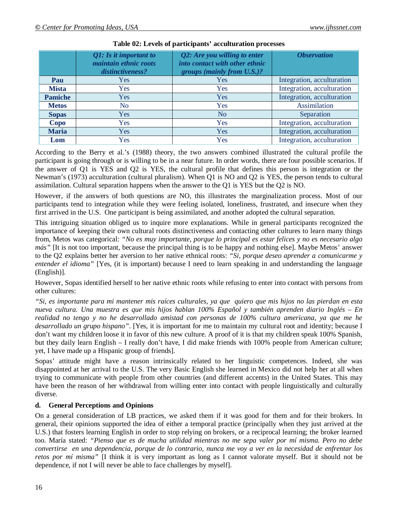|                | Q1: Is it important to<br>maintain ethnic roots<br>distinctiveness? | Q2: Are you willing to enter<br>into contact with other ethnic<br>groups (mainly from U.S.)? | <i><b>Observation</b></i>  |
|----------------|---------------------------------------------------------------------|----------------------------------------------------------------------------------------------|----------------------------|
| Pau            | Yes                                                                 | Yes                                                                                          | Integration, acculturation |
| <b>Mista</b>   | Yes                                                                 | Yes                                                                                          | Integration, acculturation |
| <b>Pamiche</b> | Yes                                                                 | Yes                                                                                          | Integration, acculturation |
| <b>Metos</b>   | No                                                                  | Yes                                                                                          | Assimilation               |
| <b>Sopas</b>   | Yes                                                                 | No                                                                                           | Separation                 |
| Copo           | <b>Yes</b>                                                          | <b>Yes</b>                                                                                   | Integration, acculturation |
| <b>Maria</b>   | <b>Yes</b>                                                          | Yes                                                                                          | Integration, acculturation |
| Lom            | Yes                                                                 | Yes                                                                                          | Integration, acculturation |

# **Table 02: Levels of participants' acculturation processes**

According to the Berry et al.'s (1988) theory, the two answers combined illustrated the cultural profile the participant is going through or is willing to be in a near future. In order words, there are four possible scenarios. If the answer of Q1 is YES and Q2 is YES, the cultural profile that defines this person is integration or the Newman's (1973) acculturation (cultural pluralism). When Q1 is NO and Q2 is YES, the person tends to cultural assimilation. Cultural separation happens when the answer to the Q1 is YES but the Q2 is NO.

However, if the answers of both questions are NO, this illustrates the marginalization process. Most of our participants tend to integration while they were feeling isolated, loneliness, frustrated, and insecure when they first arrived in the U.S. One participant is being assimilated, and another adopted the cultural separation.

This intriguing situation obliged us to inquire more explanations. While in general participants recognized the importance of keeping their own cultural roots distinctiveness and contacting other cultures to learn many things from, Metos was categorical: *"No es muy importante, porque lo principal es estar felices y no es necesario algo más"* [It is not too important, because the principal thing is to be happy and nothing else]. Maybe Metos' answer to the Q2 explains better her aversion to her native ethnical roots: *"Si, porque deseo aprender a comunicarme y entender el idioma"* [Yes, (it is important) because I need to learn speaking in and understanding the language (English)].

However, Sopas identified herself to her native ethnic roots while refusing to enter into contact with persons from other cultures:

*"Si, es importante para mi mantener mis raíces culturales, ya que quiero que mis hijos no las pierdan en esta nueva cultura. Una muestra es que mis hijos hablan 100% Español y también aprenden diario Inglés – En realidad no tengo y no he desarrollado amistad con personas de 100% cultura americana, ya que me he desarrollado un grupo hispano"*. [Yes, it is important for me to maintain my cultural root and identity; because I don't want my children loose it in favor of this new culture. A proof of it is that my children speak 100% Spanish, but they daily learn English – I really don't have, I did make friends with 100% people from American culture; yet, I have made up a Hispanic group of friends].

Sopas' attitude might have a reason intrinsically related to her linguistic competences. Indeed, she was disappointed at her arrival to the U.S. The very Basic English she learned in Mexico did not help her at all when trying to communicate with people from other countries (and different accents) in the United States. This may have been the reason of her withdrawal from willing enter into contact with people linguistically and culturally diverse.

# **d. General Perceptions and Opinions**

On a general consideration of LB practices, we asked them if it was good for them and for their brokers. In general, their opinions supported the idea of either a temporal practice (principally when they just arrived at the U.S.) that fosters learning English in order to stop relying on brokers, or a reciprocal learning; the broker learned too. María stated: *"Pienso que es de mucha utilidad mientras no me sepa valer por mí misma. Pero no debe convertirse en una dependencia, porque de lo contrario, nunca me voy a ver en la necesidad de enfrentar los retos por mí misma"* [I think it is very important as long as I cannot valorate myself. But it should not be dependence, if not I will never be able to face challenges by myself].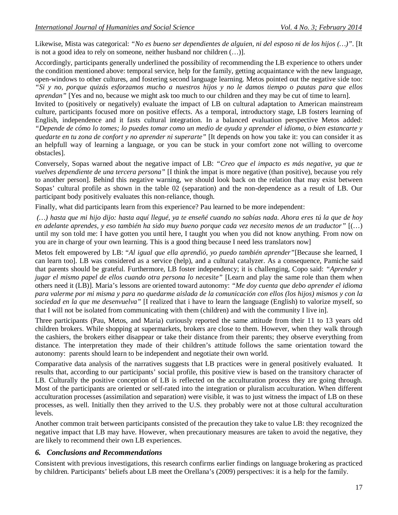Likewise, Mista was categorical: *"No es bueno ser dependientes de alguien, ni del esposo ni de los hijos (…)"*. [It is not a good idea to rely on someone, neither husband nor children (…)].

Accordingly, participants generally underlined the possibility of recommending the LB experience to others under the condition mentioned above: temporal service, help for the family, getting acquaintance with the new language, open-windows to other cultures, and fostering second language learning. Metos pointed out the negative side too: *"Si y no, porque quizás esforzamos mucho a nuestros hijos y no le damos tiempo o pautas para que ellos aprendan*" [Yes and no, because we might ask too much to our children and they may be cut of time to learn].

Invited to (positively or negatively) evaluate the impact of LB on cultural adaptation to American mainstream culture, participants focused more on positive effects. As a temporal, introductory stage, LB fosters learning of English, independence and it fasts cultural integration. In a balanced evaluation perspective Metos added: *"Depende de cómo lo tomes; lo puedes tomar como un medio de ayuda y aprender el idioma, o bien estancarte y quedarte en tu zona de confort y no aprender ni superarte"* [It depends on how you take it: you can consider it as an helpfull way of learning a language, or you can be stuck in your comfort zone not willing to overcome obstacles].

Conversely, Sopas warned about the negative impact of LB: *"Creo que el impacto es más negative, ya que te vuelves dependiente de una tercera persona"* [I think the impat is more negative (than positive), because you rely to another person]. Behind this negative warning, we should look back on the relation that may exist between Sopas' cultural profile as shown in the table 02 (separation) and the non-dependence as a result of LB. Our participant body positively evaluates this non-reliance, though.

Finally, what did participants learn from this experience? Pau learned to be more independent:

*(…) hasta que mi hijo dijo: hasta aquí llegué, ya te enseñé cuando no sabías nada. Ahora eres tú la que de hoy en adelante aprendes, y eso también ha sido muy bueno porque cada vez necesito menos de un traductor"* [(…) until my son told me: I have gotten you until here, I taught you when you did not know anything. From now on you are in charge of your own learning. This is a good thing because I need less translators now]

Metos felt empowered by LB: "*Al igual que ella aprendió, yo puedo también aprender"*[Because she learned, I can learn too]. LB was considered as a service (help), and a cultural catalyzer. As a consequence, Pamiche said that parents should be grateful. Furthermore, LB foster independency; it is challenging, Copo said: *"Aprender y jugar el mismo papel de ellos cuando otra persona lo necesite"* [Learn and play the same role than them when others need it (LB)]. Maria's lessons are oriented toward autonomy: *"Me doy cuenta que debo aprender el idioma para valerme por mi misma y para no quedarme aislada de la comunicación con ellos (los hijos) mismos y con la sociedad en la que me desenvuelva"* [I realized that i have to learn the language (English) to valorize myself, so that I will not be isolated from communicating with them (children) and with the community I live in].

Three participants (Pau, Metos, and Maria) curiously reported the same attitude from their 11 to 13 years old children brokers. While shopping at supermarkets, brokers are close to them. However, when they walk through the cashiers, the brokers either disappear or take their distance from their parents; they observe everything from distance. The interpretation they made of their children's attitude follows the same orientation toward the autonomy: parents should learn to be independent and negotiate their own world.

Comparative data analysis of the narratives suggests that LB practices were in general positively evaluated. It results that, according to our participants' social profile, this positive view is based on the transitory character of LB. Culturally the positive conception of LB is reflected on the acculturation process they are going through. Most of the participants are oriented or self-rated into the integration or pluralism acculturation. When different acculturation processes (assimilation and separation) were visible, it was to just witness the impact of LB on these processes, as well. Initially then they arrived to the U.S. they probably were not at those cultural acculturation levels.

Another common trait between participants consisted of the precaution they take to value LB: they recognized the negative impact that LB may have. However, when precautionary measures are taken to avoid the negative, they are likely to recommend their own LB experiences.

# *6. Conclusions and Recommendations*

Consistent with previous investigations, this research confirms earlier findings on language brokering as practiced by children. Participants' beliefs about LB meet the Orellana's (2009) perspectives: it is a help for the family.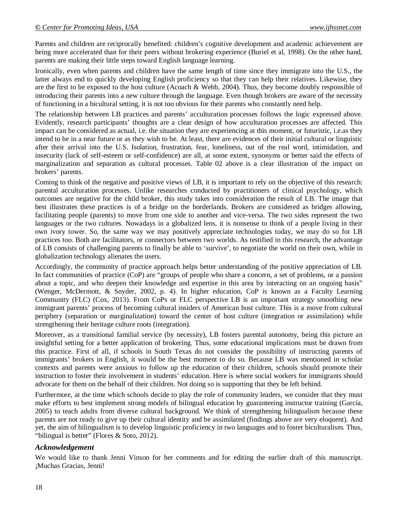Parents and children are reciprocally benefited: children's cognitive development and academic achievement are being more accelerated than for their peers without brokering experience (Buriel et al, 1998). On the other hand, parents are making their little steps toward English language learning.

Ironically, even when parents and children have the same length of time since they immigrate into the U.S., the latter always end to quickly developing English proficiency so that they can help their relatives. Likewise, they are the first to be exposed to the host culture (Acoach & Webb, 2004). Thus, they become doubly responsible of introducing their parents into a new culture through the language. Even though brokers are aware of the necessity of functioning in a bicultural setting, it is not too obvious for their parents who constantly need help.

The relationship between LB practices and parents' acculturation processes follows the logic expressed above. Evidently, research participants' thoughts are a clear design of how acculturation processes are affected. This impact can be considered as actual, i.e. the situation they are experiencing at this moment, or futuristic, i.e.as they intend to be in a near future or as they wish to be. At least, there are evidences of their initial cultural or linguistic after their arrival into the U.S. Isolation, frustration, fear, loneliness, out of the real word, intimidation, and insecurity (lack of self-esteem or self-confidence) are all, at some extent, synonyms or better said the effects of marginalization and separation as cultural processes. Table 02 above is a clear illustration of the impact on brokers' parents.

Coming to think of the negative and positive views of LB, it is important to rely on the objective of this research: parental acculturation processes. Unlike researches conducted by practitioners of clinical psychology, which outcomes are negative for the child broker, this study takes into consideration the result of LB. The image that best illustrates these practices is of a bridge on the borderlands. Brokers are considered as bridges allowing, facilitating people (parents) to move from one side to another and vice-versa. The two sides represent the two languages or the two cultures. Nowadays in a globalized lens, it is nonsense to think of a people living in their own ivory tower. So, the same way we may positively appreciate technologies today, we may do so for LB practices too. Both are facilitators, or connectors between two worlds. As testified in this research, the advantage of LB consists of challenging parents to finally be able to 'survive', to negotiate the world on their own, while in globalization technology alienates the users.

Accordingly, the community of practice approach helps better understanding of the positive appreciation of LB. In fact communities of practice (CoP) are "groups of people who share a concern, a set of problems, or a passion about a topic, and who deepen their knowledge and expertise in this area by interacting on an ongoing basis" (Wenger, McDermott, & Snyder, 2002, p. 4). In higher education, CoP is known as a Faculty Learning Community (FLC) (Cox, 2013). From CoPs or FLC perspective LB is an important strategy smoothing new immigrant parents' process of becoming cultural insiders of American host culture. This is a move from cultural periphery (separation or marginalization) toward the center of host culture (integration or assimilation) while strengthening their heritage culture roots (integration).

Moreover, as a transitional familial service (by necessity), LB fosters parental autonomy, being this picture an insightful setting for a better application of brokering. Thus, some educational implications must be drawn from this practice. First of all, if schools in South Texas do not consider the possibility of instructing parents of immigrants' brokers in English, it would be the best moment to do so. Because LB was mentioned in scholar contexts and parents were anxious to follow up the education of their children, schools should promote their instruction to foster their involvement in students' education. Here is where social workers for immigrants should advocate for them on the behalf of their children. Not doing so is supporting that they be left behind.

Furthermore, at the time which schools decide to play the role of community leaders, we consider that they must make efforts to best implement strong models of bilingual education by guaranteeing instructor training (García, 2005) to teach adults from diverse cultural background. We think of strengthening bilingualism because these parents are not ready to give up their cultural identity and be assimilated (findings above are very eloquent). And yet, the aim of bilingualism is to develop linguistic proficiency in two languages and to foster biculturalism. Thus, "bilingual is better" (Flores & Soto, 2012).

# *Acknowledgement*

We would like to thank Jenni Vinson for her comments and for editing the earlier draft of this manuscript. ¡Muchas Gracias, Jenni!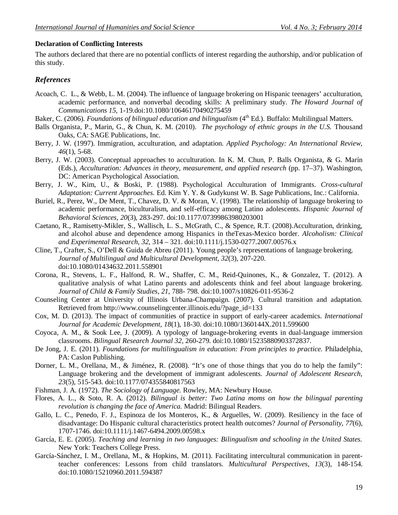#### **Declaration of Conflicting Interests**

The authors declared that there are no potential conflicts of interest regarding the authorship, and/or publication of this study.

# *References*

- Acoach, C. L., & Webb, L. M. (2004). The influence of language brokering on Hispanic teenagers' acculturation, academic performance, and nonverbal decoding skills: A preliminary study. *The Howard Journal of Communications 15,* 1-19.doi:10.1080/10646170490275459
- Baker, C. (2006). *Foundations of bilingual education and bilingualism* (4<sup>th</sup> Ed.). Buffalo: Multilingual Matters.
- Balls Organista, P., Marin, G., & Chun, K. M. (2010). *The psychology of ethnic groups in the U.S.* Thousand Oaks, CA: SAGE Publications, Inc.
- Berry, J. W. (1997). Immigration, acculturation, and adaptation. *Applied Psychology: An International Review, 46*(1), 5-68.
- Berry, J. W. (2003). Conceptual approaches to acculturation. In K. M. Chun, P. Balls Organista, & G. Marín (Eds.), *Acculturation: Advances in theory, measurement, and applied research* (pp. 17–37). Washington, DC: American Psychological Association.
- Berry, J. W., Kim, U., & Boski, P. (1988). Psychological Acculturation of Immigrants. *Cross-cultural Adaptation: Current Approaches.* Ed. Kim Y. Y. & Gudykunst W. B. Sage Publications, Inc.: California.
- Buriel, R., Perez, W., De Ment, T., Chavez, D. V. & Moran, V. (1998). The relationship of language brokering to academic performance, biculturalism, and self-efficacy among Latino adolescents. *Hispanic Journal of Behavioral Sciences, 20*(3), 283-297. doi:10.1177/07399863980203001
- Caetano, R., Ramisetty-Mikler, S., Wallisch, L. S., McGrath, C., & Spence, R.T. (2008).Acculturation, drinking, and alcohol abuse and dependence among Hispanics in theTexas-Mexico border. *Alcoholism: Clinical and Experimental Research, 32,* 314 – 321. doi:10.1111/j.1530-0277.2007.00576.x
- Cline, T., Crafter, S., O'Dell & Guida de Abreu (2011). Young people's representations of language brokering. *Journal of Multilingual and Multicultural Development, 32*(3), 207-220. doi:10.1080/01434632.2011.558901
- Corona, R., Stevens, L. F., Halfond, R. W., Shaffer, C. M., Reid-Quinones, K., & Gonzalez, T. (2012). A qualitative analysis of what Latino parents and adolescents think and feel about language brokering. *Journal of Child & Family Studies*, *21*, 788- 798. doi:10.1007/s10826-011-9536-2
- Counseling Center at University of Illinois Urbana-Champaign. (2007). Cultural transition and adaptation. Retrieved from http://www.counselingcenter.illinois.edu/?page\_id=133
- Cox, M. D. (2013). The impact of communities of practice in support of early-career academics. *International Journal for Academic Development, 18*(1), 18-30. doi:10.1080/1360144X.2011.599600
- Coyoca, A. M., & Sook Lee, J. (2009). A typology of language-brokering events in dual-language immersion classrooms. *Bilingual Research Journal 32,* 260-279. doi:10.1080/15235880903372837.
- De Jong, J. E. (2011). *Foundations for multilingualism in education: From principles to practice.* Philadelphia, PA: Caslon Publishing.
- Dorner, L. M., Orellana, M., & Jiménez, R. (2008). "It's one of those things that you do to help the family": Language brokering and the development of immigrant adolescents. *Journal of Adolescent Research, 23*(5), 515-543. doi:10.1177/074355840817563
- Fishman, J. A. (1972). *The Sociology of Language.* Rowley, MA: Newbury House.
- Flores, A. L., & Soto, R. A. (2012). *Bilingual is better: Two Latina moms on how the bilingual parenting revolution is changing the face of America.* Madrid: Bilingual Readers.
- Gallo, L. C., Penedo, F. J., Espinoza de los Monteros, K., & Arguelles, W. (2009). Resiliency in the face of disadvantage: Do Hispanic cultural characteristics protect health outcomes? *Journal of Personality*, *77*(6), 1707-1746. doi:10.1111/j.1467-6494.2009.00598.x
- García, E. E. (2005). *Teaching and learning in two languages: Bilingualism and schooling in the United States.* New York: Teachers College Press.
- García-Sánchez, I. M., Orellana, M., & Hopkins, M. (2011). Facilitating intercultural communication in parentteacher conferences: Lessons from child translators. *Multicultural Perspectives, 13*(3)*,* 148-154. doi:10.1080/15210960.2011.594387